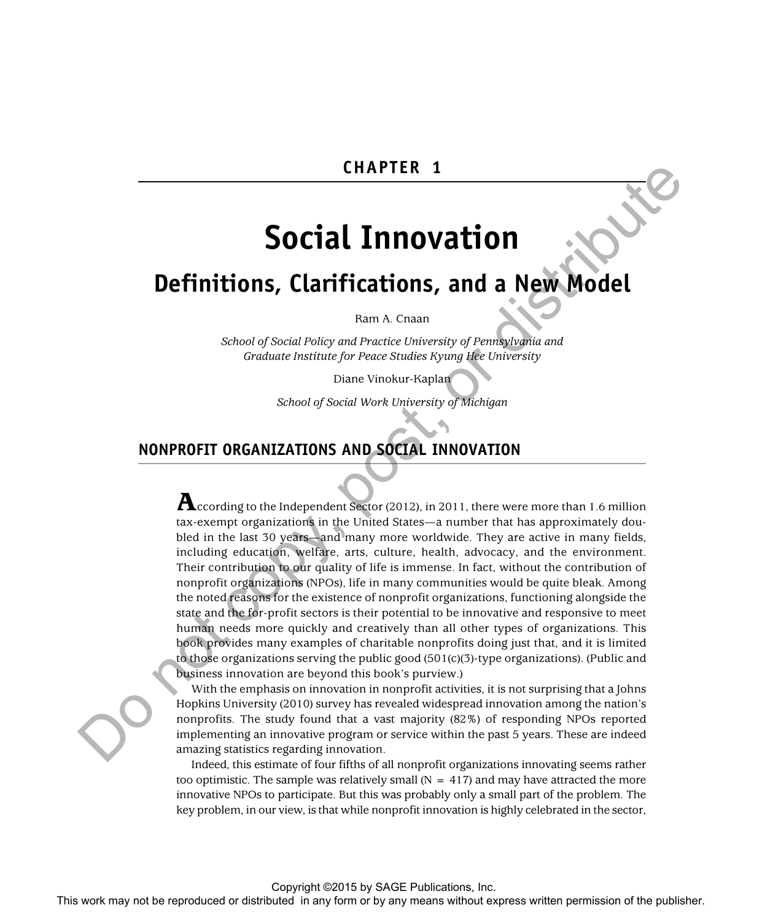## **CHAPTER 1**

# **Social Innovation**

## **Definitions, Clarifications, and a New Model**

Ram A. Cnaan

*School of Social Policy and Practice University of Pennsylvania and Graduate Institute for Peace Studies Kyung Hee University* 

Diane Vinokur-Kaplan

*School of Social Work University of Michigan* 

## **NONPROFIT ORGANIZATIONS AND SOCIAL INNOVATION**

 ${\bf A}$ ccording to the Independent Sector (2012), in 2011, there were more than 1.6 million tax-exempt organizations in the United States—a number that has approximately doubled in the last 30 years—and many more worldwide. They are active in many fields, including education, welfare, arts, culture, health, advocacy, and the environment. Their contribution to our quality of life is immense. In fact, without the contribution of nonprofit organizations (NPOs), life in many communities would be quite bleak. Among the noted reasons for the existence of nonprofit organizations, functioning alongside the state and the for-profit sectors is their potential to be innovative and responsive to meet human needs more quickly and creatively than all other types of organizations. This book provides many examples of charitable nonprofits doing just that, and it is limited to those organizations serving the public good (501(c)(3)-type organizations). (Public and business innovation are beyond this book's purview.) **THE SECTION CONTINUES AND SOCIAL INTO VALUES AND SOCIAL CONTINUES AND SOCIAL CONTINUES AND SOCIAL CONTINUES AND SOCIAL CONTINUES AND SOCIAL CONTINUES AND SOCIAL CONTINUES AND SOCIAL CONTINUES AND SOCIAL CONTINUES AND SOC** 

With the emphasis on innovation in nonprofit activities, it is not surprising that a Johns Hopkins University (2010) survey has revealed widespread innovation among the nation's nonprofits. The study found that a vast majority (82%) of responding NPOs reported implementing an innovative program or service within the past 5 years. These are indeed amazing statistics regarding innovation.

Indeed, this estimate of four fifths of all nonprofit organizations innovating seems rather too optimistic. The sample was relatively small  $(N = 417)$  and may have attracted the more innovative NPOs to participate. But this was probably only a small part of the problem. The key problem, in our view, is that while nonprofit innovation is highly celebrated in the sector,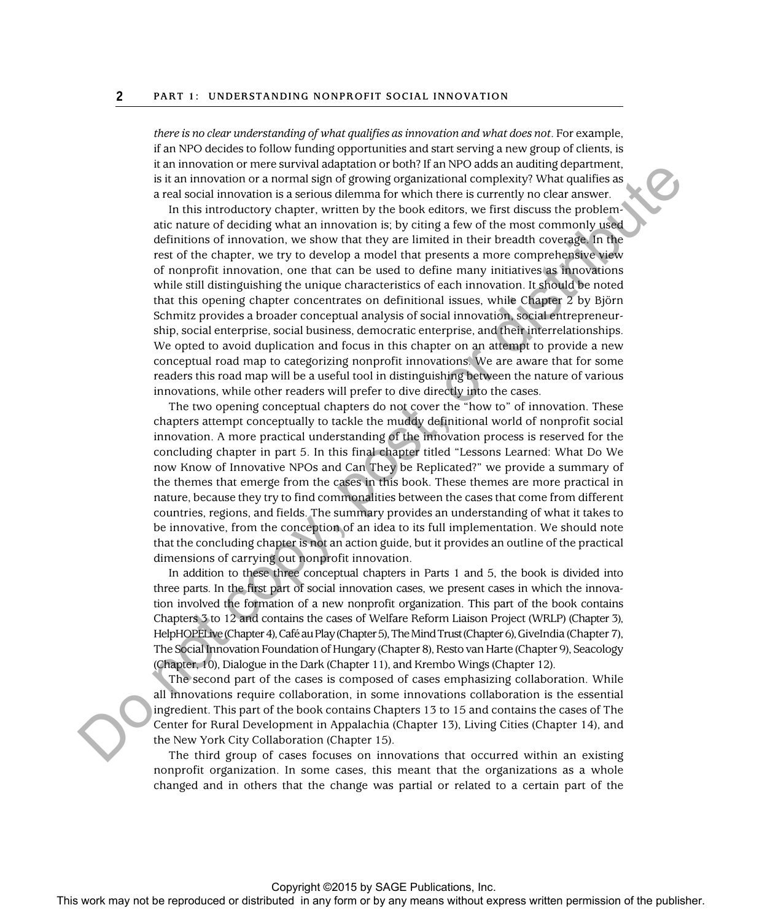*there is no clear understanding of what qualifies as innovation and what does not*. For example, if an NPO decides to follow funding opportunities and start serving a new group of clients, is it an innovation or mere survival adaptation or both? If an NPO adds an auditing department, is it an innovation or a normal sign of growing organizational complexity? What qualifies as a real social innovation is a serious dilemma for which there is currently no clear answer.

In this introductory chapter, written by the book editors, we first discuss the problematic nature of deciding what an innovation is; by citing a few of the most commonly used definitions of innovation, we show that they are limited in their breadth coverage. In the rest of the chapter, we try to develop a model that presents a more comprehensive view of nonprofit innovation, one that can be used to define many initiatives as innovations while still distinguishing the unique characteristics of each innovation. It should be noted that this opening chapter concentrates on definitional issues, while Chapter 2 by Björn Schmitz provides a broader conceptual analysis of social innovation, social entrepreneurship, social enterprise, social business, democratic enterprise, and their interrelationships. We opted to avoid duplication and focus in this chapter on an attempt to provide a new conceptual road map to categorizing nonprofit innovations. We are aware that for some readers this road map will be a useful tool in distinguishing between the nature of various innovations, while other readers will prefer to dive directly into the cases. It is more than express with the reproduced or the reproduced or the reproduced or the reproduced or distributed in any form or by any means with the publisher. This includes we can consider the publisher and the publishe

The two opening conceptual chapters do not cover the "how to" of innovation. These chapters attempt conceptually to tackle the muddy definitional world of nonprofit social innovation. A more practical understanding of the innovation process is reserved for the concluding chapter in part 5. In this final chapter titled "Lessons Learned: What Do We now Know of Innovative NPOs and Can They be Replicated?" we provide a summary of the themes that emerge from the cases in this book. These themes are more practical in nature, because they try to find commonalities between the cases that come from different countries, regions, and fields. The summary provides an understanding of what it takes to be innovative, from the conception of an idea to its full implementation. We should note that the concluding chapter is not an action guide, but it provides an outline of the practical dimensions of carrying out nonprofit innovation.

In addition to these three conceptual chapters in Parts 1 and 5, the book is divided into three parts. In the first part of social innovation cases, we present cases in which the innovation involved the formation of a new nonprofit organization. This part of the book contains Chapters 3 to 12 and contains the cases of Welfare Reform Liaison Project (WRLP) (Chapter 3), HelpHOPELive (Chapter 4), Café au Play (Chapter 5), The Mind Trust (Chapter 6), GiveIndia (Chapter 7), The Social Innovation Foundation of Hungary (Chapter 8), Resto van Harte (Chapter 9), Seacology (Chapter, 10), Dialogue in the Dark (Chapter 11), and Krembo Wings (Chapter 12).

The second part of the cases is composed of cases emphasizing collaboration. While all innovations require collaboration, in some innovations collaboration is the essential ingredient. This part of the book contains Chapters 13 to 15 and contains the cases of The Center for Rural Development in Appalachia (Chapter 13), Living Cities (Chapter 14), and the New York City Collaboration (Chapter 15).

The third group of cases focuses on innovations that occurred within an existing nonprofit organization. In some cases, this meant that the organizations as a whole changed and in others that the change was partial or related to a certain part of the

#### Copyright ©2015 by SAGE Publications, Inc.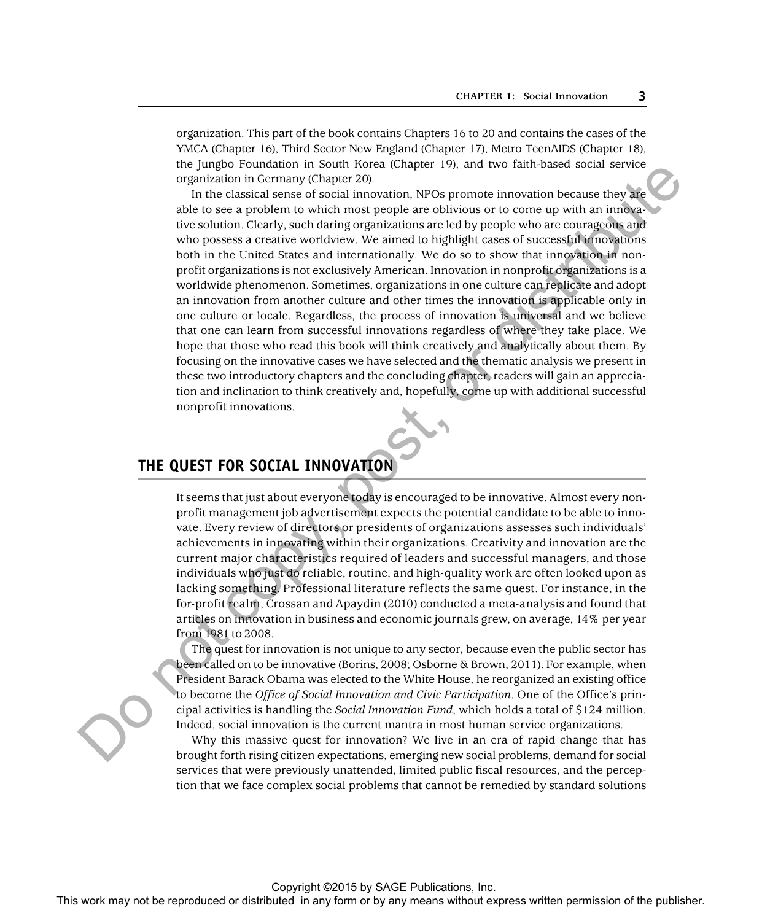organization. This part of the book contains Chapters 16 to 20 and contains the cases of the YMCA (Chapter 16), Third Sector New England (Chapter 17), Metro TeenAIDS (Chapter 18), the Jungbo Foundation in South Korea (Chapter 19), and two faith-based social service organization in Germany (Chapter 20).

In the classical sense of social innovation, NPOs promote innovation because they are able to see a problem to which most people are oblivious or to come up with an innovative solution. Clearly, such daring organizations are led by people who are courageous and who possess a creative worldview. We aimed to highlight cases of successful innovations both in the United States and internationally. We do so to show that innovation in nonprofit organizations is not exclusively American. Innovation in nonprofit organizations is a worldwide phenomenon. Sometimes, organizations in one culture can replicate and adopt an innovation from another culture and other times the innovation is applicable only in one culture or locale. Regardless, the process of innovation is universal and we believe that one can learn from successful innovations regardless of where they take place. We hope that those who read this book will think creatively and analytically about them. By focusing on the innovative cases we have selected and the thematic analysis we present in these two introductory chapters and the concluding chapter, readers will gain an appreciation and inclination to think creatively and, hopefully, come up with additional successful nonprofit innovations. The cost may not be reproduced or the control or distributed is the representation of the reproduced or the reproduced or the publisher or by any point of the reproduced or the control or the publisher. Change any form or

## **THE QUEST FOR SOCIAL INNOVATION**

It seems that just about everyone today is encouraged to be innovative. Almost every nonprofit management job advertisement expects the potential candidate to be able to innovate. Every review of directors or presidents of organizations assesses such individuals' achievements in innovating within their organizations. Creativity and innovation are the current major characteristics required of leaders and successful managers, and those individuals who just do reliable, routine, and high-quality work are often looked upon as lacking something. Professional literature reflects the same quest. For instance, in the for-profit realm, Crossan and Apaydin (2010) conducted a meta-analysis and found that articles on innovation in business and economic journals grew, on average, 14% per year from 1981 to 2008.

The quest for innovation is not unique to any sector, because even the public sector has been called on to be innovative (Borins, 2008; Osborne & Brown, 2011). For example, when President Barack Obama was elected to the White House, he reorganized an existing office to become the *Office of Social Innovation and Civic Participation*. One of the Office's principal activities is handling the *Social Innovation Fund*, which holds a total of \$124 million. Indeed, social innovation is the current mantra in most human service organizations.

Why this massive quest for innovation? We live in an era of rapid change that has brought forth rising citizen expectations, emerging new social problems, demand for social services that were previously unattended, limited public fiscal resources, and the perception that we face complex social problems that cannot be remedied by standard solutions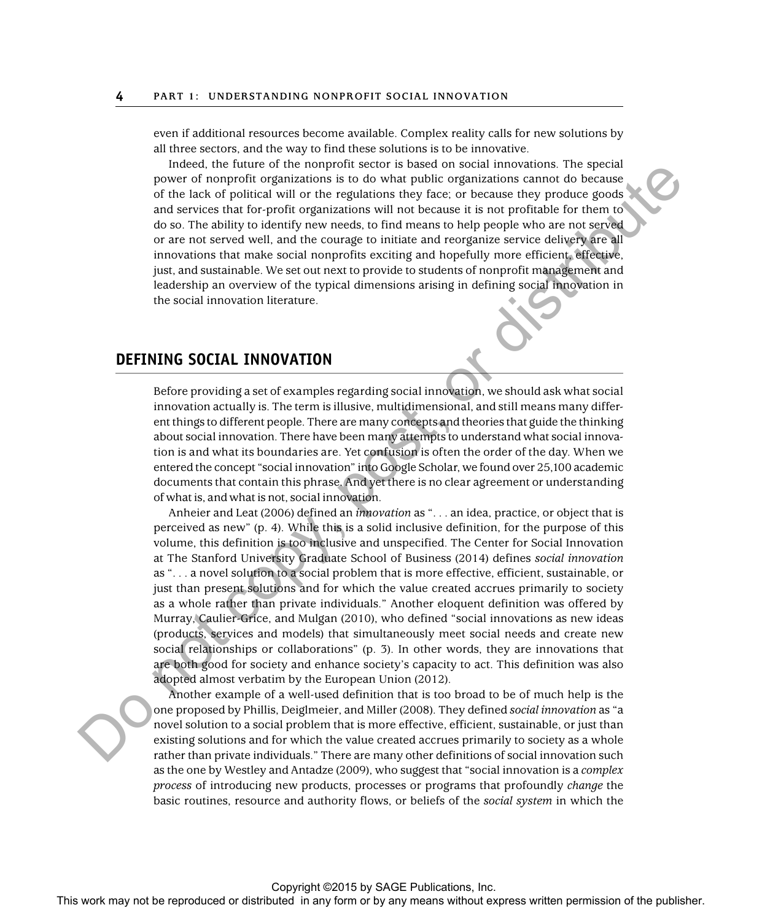even if additional resources become available. Complex reality calls for new solutions by all three sectors, and the way to find these solutions is to be innovative.

Indeed, the future of the nonprofit sector is based on social innovations. The special power of nonprofit organizations is to do what public organizations cannot do because of the lack of political will or the regulations they face; or because they produce goods and services that for-profit organizations will not because it is not profitable for them to do so. The ability to identify new needs, to find means to help people who are not served or are not served well, and the courage to initiate and reorganize service delivery are all innovations that make social nonprofits exciting and hopefully more efficient, effective, just, and sustainable. We set out next to provide to students of nonprofit management and leadership an overview of the typical dimensions arising in defining social innovation in the social innovation literature.

## **DEFINING SOCIAL INNOVATION**

Before providing a set of examples regarding social innovation, we should ask what social innovation actually is. The term is illusive, multidimensional, and still means many different things to different people. There are many concepts and theories that guide the thinking about social innovation. There have been many attempts to understand what social innovation is and what its boundaries are. Yet confusion is often the order of the day. When we entered the concept "social innovation" into Google Scholar, we found over 25,100 academic documents that contain this phrase. And yet there is no clear agreement or understanding of what is, and what is not, social innovation.

Anheier and Leat (2006) defined an *innovation* as ". . . an idea, practice, or object that is perceived as new" (p. 4). While this is a solid inclusive definition, for the purpose of this volume, this definition is too inclusive and unspecified. The Center for Social Innovation at The Stanford University Graduate School of Business (2014) defines *social innovation* as ". . . a novel solution to a social problem that is more effective, efficient, sustainable, or just than present solutions and for which the value created accrues primarily to society as a whole rather than private individuals." Another eloquent definition was offered by Murray, Caulier-Grice, and Mulgan (2010), who defined "social innovations as new ideas (products, services and models) that simultaneously meet social needs and create new social relationships or collaborations" (p. 3). In other words, they are innovations that are both good for society and enhance society's capacity to act. This definition was also adopted almost verbatim by the European Union (2012). The mean or the reproduced or the repression or the reproduced or the reproduced or the reproduced or the reproduced in any form or the publisher or the publisher or the publisher or the publisher. This were the publisher

Another example of a well-used definition that is too broad to be of much help is the one proposed by Phillis, Deiglmeier, and Miller (2008). They defined *social innovation* as "a novel solution to a social problem that is more effective, efficient, sustainable, or just than existing solutions and for which the value created accrues primarily to society as a whole rather than private individuals." There are many other definitions of social innovation such as the one by Westley and Antadze (2009), who suggest that "social innovation is a *complex process* of introducing new products, processes or programs that profoundly *change* the basic routines, resource and authority flows, or beliefs of the *social system* in which the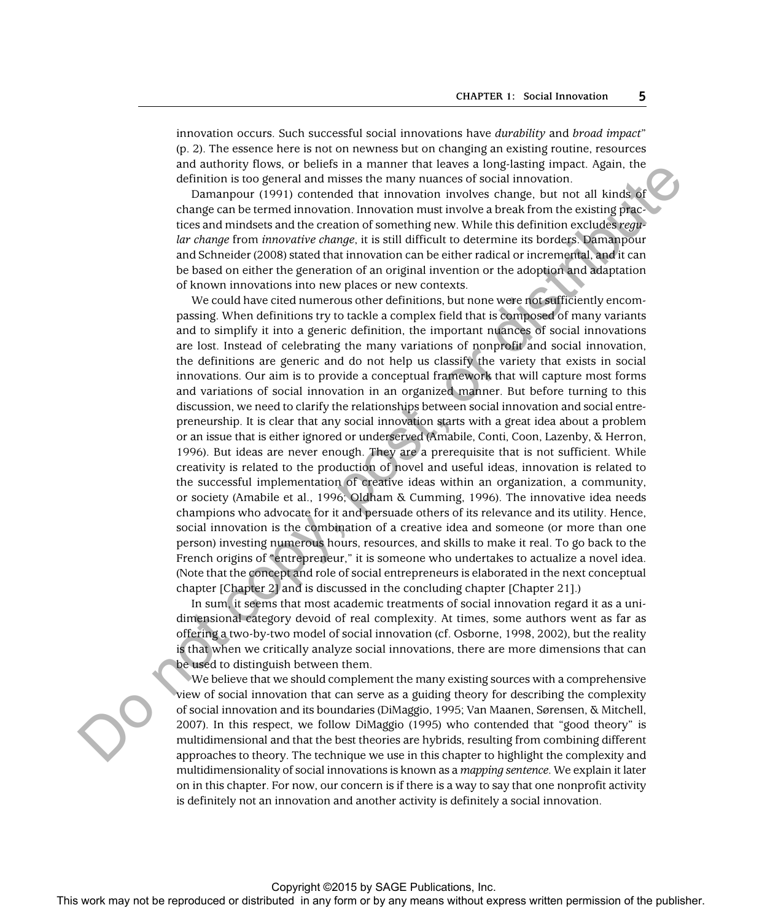innovation occurs. Such successful social innovations have *durability* and *broad impact* " (p. 2). The essence here is not on newness but on changing an existing routine, resources and authority flows, or beliefs in a manner that leaves a long-lasting impact. Again, the definition is too general and misses the many nuances of social innovation.

Damanpour (1991) contended that innovation involves change, but not all kinds of change can be termed innovation. Innovation must involve a break from the existing practices and mindsets and the creation of something new. While this definition excludes *regular change* from *innovative change*, it is still difficult to determine its borders. Damanpour and Schneider (2008) stated that innovation can be either radical or incremental, and it can be based on either the generation of an original invention or the adoption and adaptation of known innovations into new places or new contexts.

We could have cited numerous other definitions, but none were not sufficiently encompassing. When definitions try to tackle a complex field that is composed of many variants and to simplify it into a generic definition, the important nuances of social innovations are lost. Instead of celebrating the many variations of nonprofit and social innovation, the definitions are generic and do not help us classify the variety that exists in social innovations. Our aim is to provide a conceptual framework that will capture most forms and variations of social innovation in an organized manner. But before turning to this discussion, we need to clarify the relationships between social innovation and social entrepreneurship. It is clear that any social innovation starts with a great idea about a problem or an issue that is either ignored or underserved (Amabile, Conti, Coon, Lazenby, & Herron, 1996). But ideas are never enough. They are a prerequisite that is not sufficient. While creativity is related to the production of novel and useful ideas, innovation is related to the successful implementation of creative ideas within an organization, a community, or society (Amabile et al., 1996; Oldham & Cumming, 1996). The innovative idea needs champions who advocate for it and persuade others of its relevance and its utility. Hence, social innovation is the combination of a creative idea and someone (or more than one person) investing numerous hours, resources, and skills to make it real. To go back to the French origins of "entrepreneur," it is someone who undertakes to actualize a novel idea. (Note that the concept and role of social entrepreneurs is elaborated in the next conceptual chapter [Chapter 2] and is discussed in the concluding chapter [Chapter 21].) The may note to constrain the reproduced or distributed in any form or by any means when the reproduced or distributed in any form or by any means when the publisher or distributed in any form or by any means we are the pu

In sum, it seems that most academic treatments of social innovation regard it as a unidimensional category devoid of real complexity. At times, some authors went as far as offering a two-by-two model of social innovation (cf. Osborne, 1998, 2002), but the reality is that when we critically analyze social innovations, there are more dimensions that can be used to distinguish between them.

We believe that we should complement the many existing sources with a comprehensive view of social innovation that can serve as a guiding theory for describing the complexity of social innovation and its boundaries (DiMaggio, 1995; Van Maanen, Sørensen, & Mitchell, 2007). In this respect, we follow DiMaggio (1995) who contended that "good theory" is multidimensional and that the best theories are hybrids, resulting from combining different approaches to theory. The technique we use in this chapter to highlight the complexity and multidimensionality of social innovations is known as a *mapping sentence*. We explain it later on in this chapter. For now, our concern is if there is a way to say that one nonprofit activity is definitely not an innovation and another activity is definitely a social innovation.

#### Copyright ©2015 by SAGE Publications, Inc.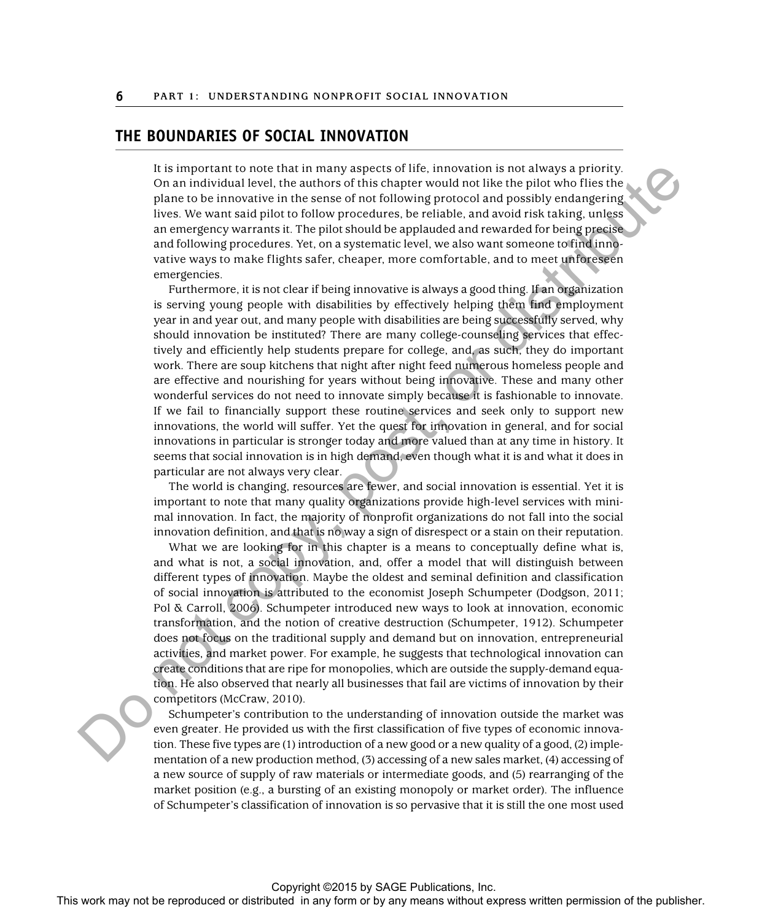## **THE BOUNDARIES OF SOCIAL INNOVATION**

It is important to note that in many aspects of life, innovation is not always a priority. On an individual level, the authors of this chapter would not like the pilot who flies the plane to be innovative in the sense of not following protocol and possibly endangering lives. We want said pilot to follow procedures, be reliable, and avoid risk taking, unless an emergency warrants it. The pilot should be applauded and rewarded for being precise and following procedures. Yet, on a systematic level, we also want someone to find innovative ways to make flights safer, cheaper, more comfortable, and to meet unforeseen emergencies.

Furthermore, it is not clear if being innovative is always a good thing. If an organization is serving young people with disabilities by effectively helping them find employment year in and year out, and many people with disabilities are being successfully served, why should innovation be instituted? There are many college-counseling services that effectively and efficiently help students prepare for college, and, as such, they do important work. There are soup kitchens that night after night feed numerous homeless people and are effective and nourishing for years without being innovative. These and many other wonderful services do not need to innovate simply because it is fashionable to innovate. If we fail to financially support these routine services and seek only to support new innovations, the world will suffer. Yet the quest for innovation in general, and for social innovations in particular is stronger today and more valued than at any time in history. It seems that social innovation is in high demand, even though what it is and what it does in particular are not always very clear. It is important to oroto that in any appear to the any form or behavior is not always a point);<br>
The work may not be reproduced in any means we have the publisher of the publisher. The means we reconstruct the publisher o

The world is changing, resources are fewer, and social innovation is essential. Yet it is important to note that many quality organizations provide high-level services with minimal innovation. In fact, the majority of nonprofit organizations do not fall into the social innovation definition, and that is no way a sign of disrespect or a stain on their reputation.

What we are looking for in this chapter is a means to conceptually define what is, and what is not, a social innovation, and, offer a model that will distinguish between different types of innovation. Maybe the oldest and seminal definition and classification of social innovation is attributed to the economist Joseph Schumpeter (Dodgson, 2011; Pol & Carroll, 2006). Schumpeter introduced new ways to look at innovation, economic transformation, and the notion of creative destruction (Schumpeter, 1912). Schumpeter does not focus on the traditional supply and demand but on innovation, entrepreneurial activities, and market power. For example, he suggests that technological innovation can create conditions that are ripe for monopolies, which are outside the supply-demand equation. He also observed that nearly all businesses that fail are victims of innovation by their competitors (McCraw, 2010).

Schumpeter's contribution to the understanding of innovation outside the market was even greater. He provided us with the first classification of five types of economic innovation. These five types are (1) introduction of a new good or a new quality of a good, (2) implementation of a new production method, (3) accessing of a new sales market, (4) accessing of a new source of supply of raw materials or intermediate goods, and (5) rearranging of the market position (e.g., a bursting of an existing monopoly or market order). The influence of Schumpeter's classification of innovation is so pervasive that it is still the one most used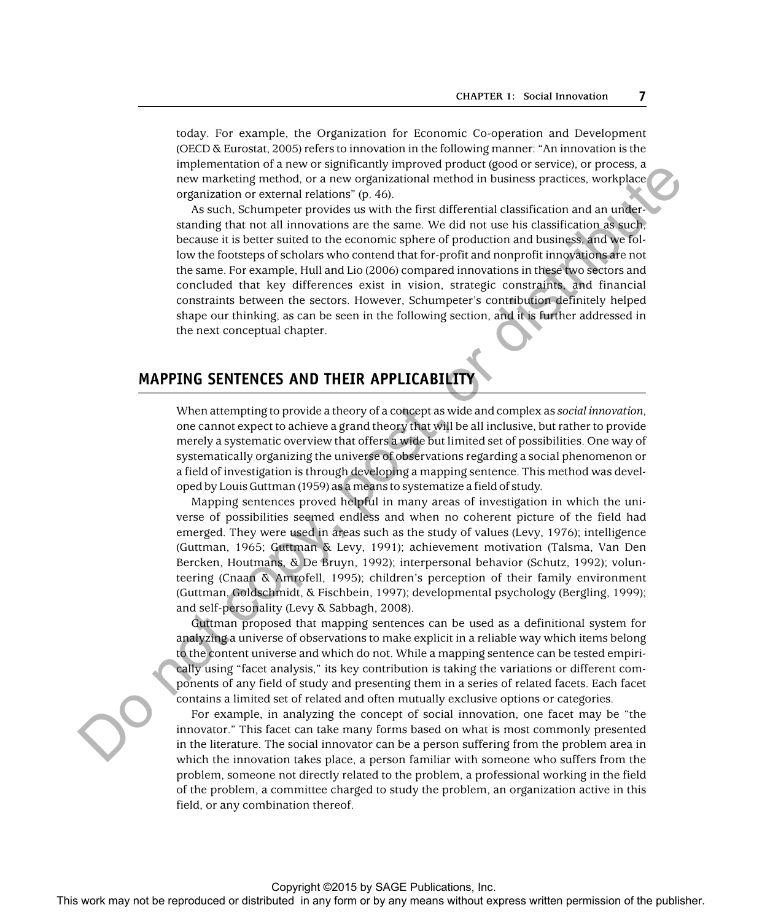today. For example, the Organization for Economic Co-operation and Development (OECD & Eurostat, 2005) refers to innovation in the following manner: "An innovation is the implementation of a new or significantly improved product (good or service), or process, a new marketing method, or a new organizational method in business practices, workplace organization or external relations" (p. 46).

As such, Schumpeter provides us with the first differential classification and an understanding that not all innovations are the same. We did not use his classification as such, because it is better suited to the economic sphere of production and business, and we follow the footsteps of scholars who contend that for-profit and nonprofit innovations are not the same. For example, Hull and Lio (2006) compared innovations in these two sectors and concluded that key differences exist in vision, strategic constraints, and financial constraints between the sectors. However, Schumpeter's contribution definitely helped shape our thinking, as can be seen in the following section, and it is further addressed in the next conceptual chapter. The matrix work or the rest of the rest of the rest or the rest or the publisher and the rest or the state of the publisher and the rest of the rest of the rest of the publisher and the publisher  $\sim$  by any filter the pu

## **MAPPING SENTENCES AND THEIR APPLICABILITY**

When attempting to provide a theory of a concept as wide and complex as *social innovation* , one cannot expect to achieve a grand theory that will be all inclusive, but rather to provide merely a systematic overview that offers a wide but limited set of possibilities. One way of systematically organizing the universe of observations regarding a social phenomenon or a field of investigation is through developing a mapping sentence. This method was developed by Louis Guttman (1959) as a means to systematize a field of study.

Mapping sentences proved helpful in many areas of investigation in which the universe of possibilities seemed endless and when no coherent picture of the field had emerged. They were used in areas such as the study of values (Levy, 1976); intelligence (Guttman, 1965; Guttman & Levy, 1991); achievement motivation (Talsma, Van Den Bercken, Houtmans, & De Bruyn, 1992); interpersonal behavior (Schutz, 1992); volunteering (Cnaan & Amrofell, 1995); children's perception of their family environment (Guttman, Goldschmidt, & Fischbein, 1997); developmental psychology (Bergling, 1999); and self-personality (Levy & Sabbagh, 2008).

Guttman proposed that mapping sentences can be used as a definitional system for analyzing a universe of observations to make explicit in a reliable way which items belong to the content universe and which do not. While a mapping sentence can be tested empirically using "facet analysis," its key contribution is taking the variations or different components of any field of study and presenting them in a series of related facets. Each facet contains a limited set of related and often mutually exclusive options or categories.

For example, in analyzing the concept of social innovation, one facet may be "the innovator." This facet can take many forms based on what is most commonly presented in the literature. The social innovator can be a person suffering from the problem area in which the innovation takes place, a person familiar with someone who suffers from the problem, someone not directly related to the problem, a professional working in the field of the problem, a committee charged to study the problem, an organization active in this field, or any combination thereof.

Copyright ©2015 by SAGE Publications, Inc.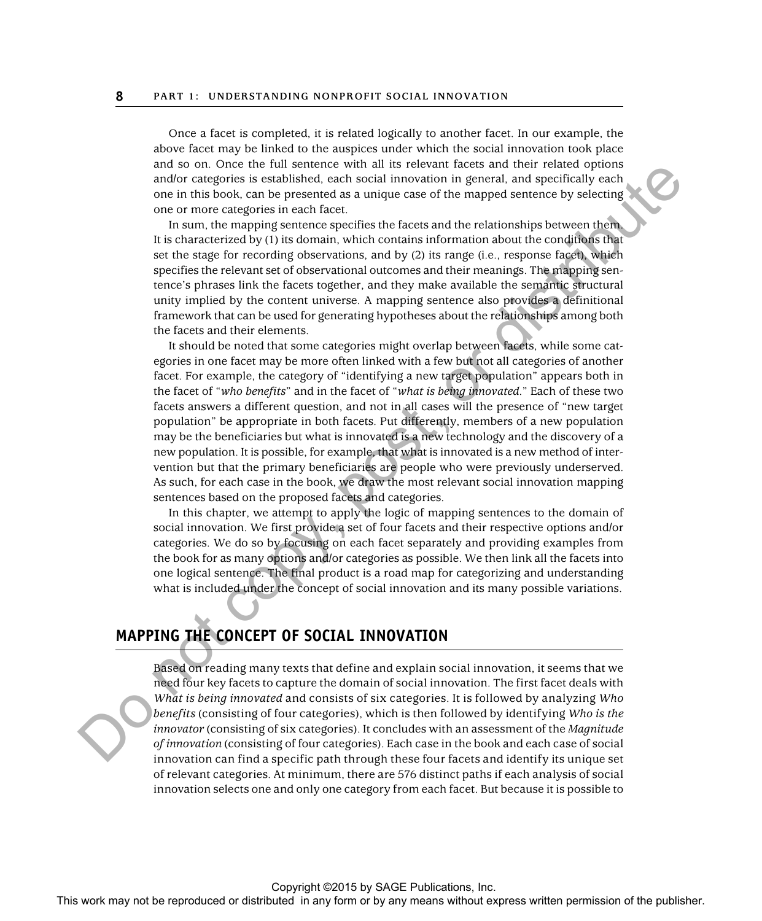Once a facet is completed, it is related logically to another facet. In our example, the above facet may be linked to the auspices under which the social innovation took place and so on. Once the full sentence with all its relevant facets and their related options and/or categories is established, each social innovation in general, and specifically each one in this book, can be presented as a unique case of the mapped sentence by selecting one or more categories in each facet.

In sum, the mapping sentence specifies the facets and the relationships between them. It is characterized by (1) its domain, which contains information about the conditions that set the stage for recording observations, and by (2) its range (i.e., response facet), which specifies the relevant set of observational outcomes and their meanings. The mapping sentence's phrases link the facets together, and they make available the semantic structural unity implied by the content universe. A mapping sentence also provides a definitional framework that can be used for generating hypotheses about the relationships among both the facets and their elements.

It should be noted that some categories might overlap between facets, while some categories in one facet may be more often linked with a few but not all categories of another facet. For example, the category of "identifying a new target population" appears both in the facet of " *who benefits*"and in the facet of " *what is being innovated*." Each of these two facets answers a different question, and not in all cases will the presence of "new target population" be appropriate in both facets. Put differently, members of a new population may be the beneficiaries but what is innovated is a new technology and the discovery of a new population. It is possible, for example, that what is innovated is a new method of intervention but that the primary beneficiaries are people who were previously underserved. As such, for each case in the book, we draw the most relevant social innovation mapping sentences based on the proposed facets and categories. This work may not be reproduced or the reproduced or distributed in any form or by any form or by any form or by any form or by any form or by any form or by any form or by any form of the publisher. This was not be repro

In this chapter, we attempt to apply the logic of mapping sentences to the domain of social innovation. We first provide a set of four facets and their respective options and/or categories. We do so by focusing on each facet separately and providing examples from the book for as many options and/or categories as possible. We then link all the facets into one logical sentence. The final product is a road map for categorizing and understanding what is included under the concept of social innovation and its many possible variations.

## **MAPPING THE CONCEPT OF SOCIAL INNOVATION**

Based on reading many texts that define and explain social innovation, it seems that we need four key facets to capture the domain of social innovation. The first facet deals with *What is being innovated* and consists of six categories. It is followed by analyzing *Who benefits* (consisting of four categories), which is then followed by identifying *Who is the innovator* (consisting of six categories). It concludes with an assessment of the *Magnitude of innovation* (consisting of four categories). Each case in the book and each case of social innovation can find a specific path through these four facets and identify its unique set of relevant categories. At minimum, there are 576 distinct paths if each analysis of social innovation selects one and only one category from each facet. But because it is possible to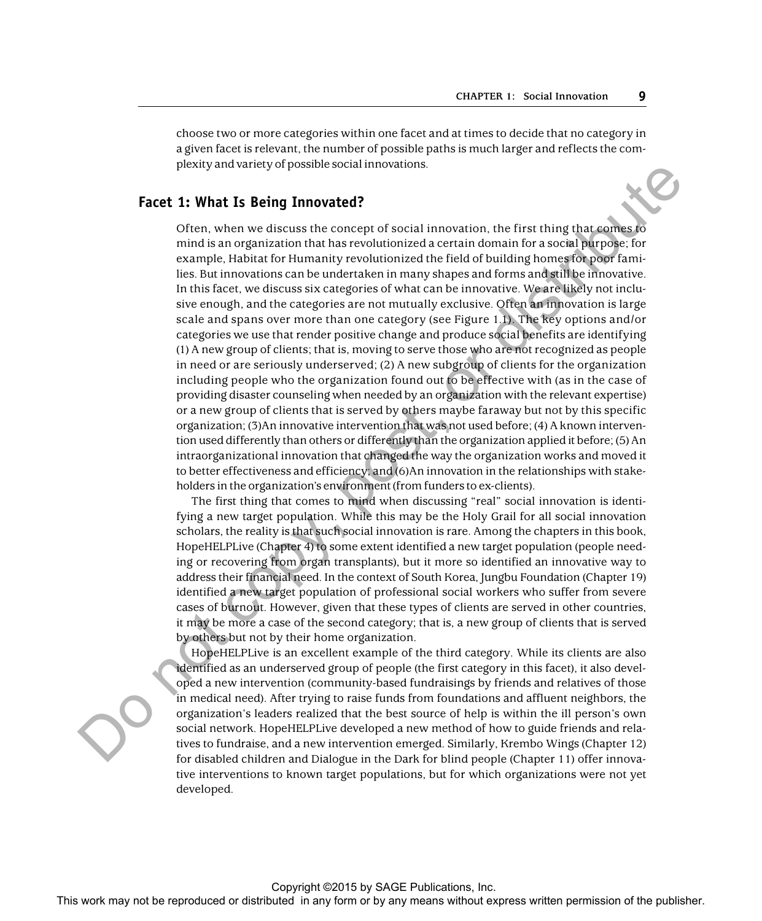choose two or more categories within one facet and at times to decide that no category in a given facet is relevant, the number of possible paths is much larger and reflects the complexity and variety of possible social innovations.

#### **Facet 1: What Is Being Innovated?**

Often, when we discuss the concept of social innovation, the first thing that comes to mind is an organization that has revolutionized a certain domain for a social purpose; for example, Habitat for Humanity revolutionized the field of building homes for poor families. But innovations can be undertaken in many shapes and forms and still be innovative. In this facet, we discuss six categories of what can be innovative. We are likely not inclusive enough, and the categories are not mutually exclusive. Often an innovation is large scale and spans over more than one category (see Figure 1.1). The key options and/or categories we use that render positive change and produce social benefits are identifying (1) A new group of clients; that is, moving to serve those who are not recognized as people in need or are seriously underserved; (2) A new subgroup of clients for the organization including people who the organization found out to be effective with (as in the case of providing disaster counseling when needed by an organization with the relevant expertise) or a new group of clients that is served by others maybe faraway but not by this specific organization; (3)An innovative intervention that was not used before; (4) A known intervention used differently than others or differently than the organization applied it before; (5) An intraorganizational innovation that changed the way the organization works and moved it to better effectiveness and efficiency; and (6)An innovation in the relationships with stakeholders in the organization's environment (from funders to ex-clients). **Fact 1:** What is **Berling** Innovation and the reproduced or the result of the results of the reproduced or distributed in any means which is a smooth properties of the publisher is a smooth properties of the publisher is

The first thing that comes to mind when discussing "real" social innovation is identifying a new target population. While this may be the Holy Grail for all social innovation scholars, the reality is that such social innovation is rare. Among the chapters in this book, HopeHELPLive (Chapter 4) to some extent identified a new target population (people needing or recovering from organ transplants), but it more so identified an innovative way to address their financial need. In the context of South Korea, Jungbu Foundation (Chapter 19) identified a new target population of professional social workers who suffer from severe cases of burnout. However, given that these types of clients are served in other countries, it may be more a case of the second category; that is, a new group of clients that is served by others but not by their home organization.

HopeHELPLive is an excellent example of the third category. While its clients are also identified as an underserved group of people (the first category in this facet), it also developed a new intervention (community-based fundraisings by friends and relatives of those in medical need). After trying to raise funds from foundations and affluent neighbors, the organization's leaders realized that the best source of help is within the ill person's own social network. HopeHELPLive developed a new method of how to guide friends and relatives to fundraise, and a new intervention emerged. Similarly, Krembo Wings (Chapter 12) for disabled children and Dialogue in the Dark for blind people (Chapter 11) offer innovative interventions to known target populations, but for which organizations were not yet developed.

Copyright ©2015 by SAGE Publications, Inc.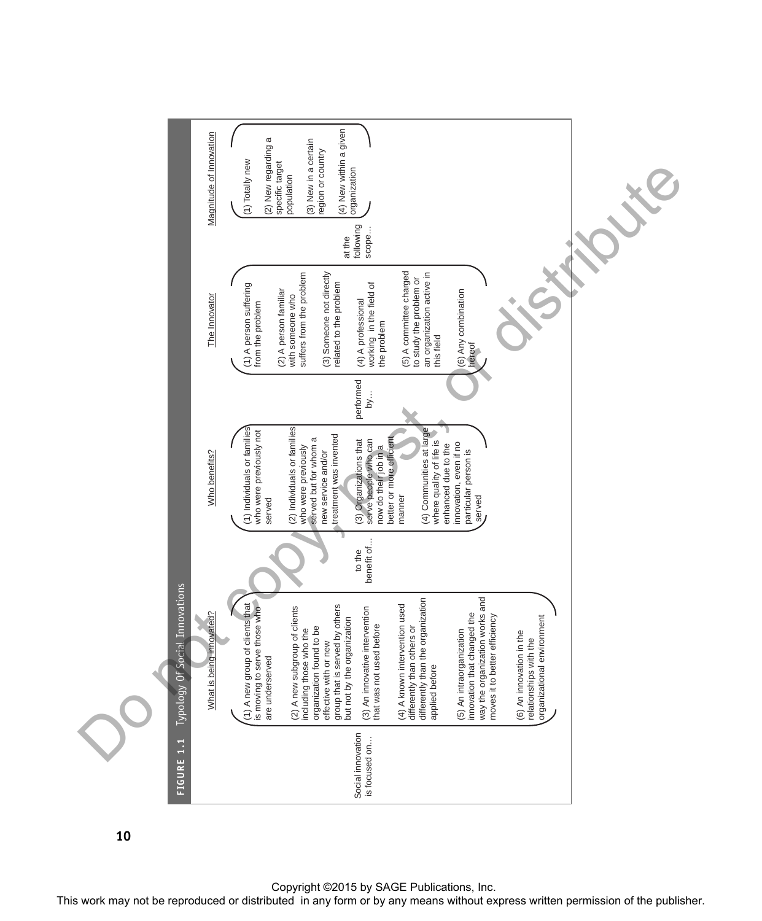

**10**

Copyright ©2015 by SAGE Publications, Inc.<br>This work may not be reproduced or distributed in any form or by any means without express written permission of the publisher.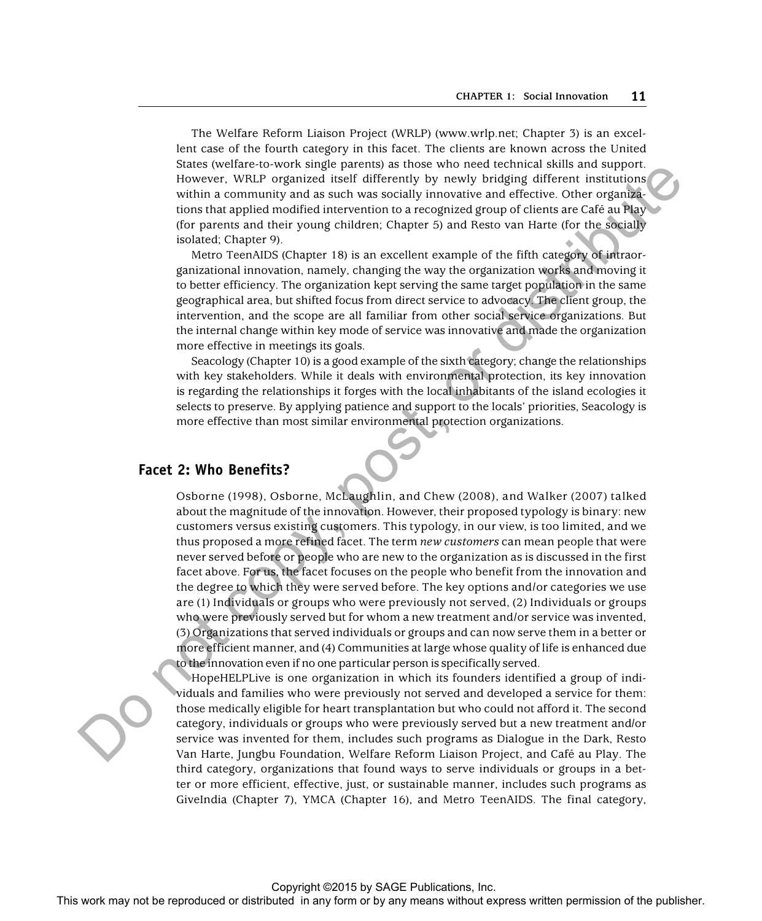The Welfare Reform Liaison Project (WRLP) (www.wrlp.net; Chapter 3) is an excellent case of the fourth category in this facet. The clients are known across the United States (welfare-to-work single parents) as those who need technical skills and support. However, WRLP organized itself differently by newly bridging different institutions within a community and as such was socially innovative and effective. Other organizations that applied modified intervention to a recognized group of clients are Café au Play (for parents and their young children; Chapter 5) and Resto van Harte (for the socially isolated; Chapter 9).

Metro TeenAIDS (Chapter 18) is an excellent example of the fifth category of intraorganizational innovation, namely, changing the way the organization works and moving it to better efficiency. The organization kept serving the same target population in the same geographical area, but shifted focus from direct service to advocacy. The client group, the intervention, and the scope are all familiar from other social service organizations. But the internal change within key mode of service was innovative and made the organization more effective in meetings its goals.

Seacology (Chapter 10) is a good example of the sixth category; change the relationships with key stakeholders. While it deals with environmental protection, its key innovation is regarding the relationships it forges with the local inhabitants of the island ecologies it selects to preserve. By applying patience and support to the locals' priorities, Seacology is more effective than most similar environmental protection organizations.

#### **Facet 2: Who Benefits?**

Osborne (1998), Osborne, McLaughlin, and Chew ( 2008), and Walker (2007) talked about the magnitude of the innovation. However, their proposed typology is binary: new customers versus existing customers. This typology, in our view, is too limited, and we thus proposed a more refined facet. The term *new customers* can mean people that were never served before or people who are new to the organization as is discussed in the first facet above. For us, the facet focuses on the people who benefit from the innovation and the degree to which they were served before. The key options and/or categories we use are (1) Individuals or groups who were previously not served, (2) Individuals or groups who were previously served but for whom a new treatment and/or service was invented, (3) Organizations that served individuals or groups and can now serve them in a better or more efficient manner, and (4) Communities at large whose quality of life is enhanced due to the innovation even if no one particular person is specifically served. Since vectorially and we see the representation of the reproduced or the reproduced or the reproduced or distributed in any form or by any means when the repression of the publisher in any means we could not be represente

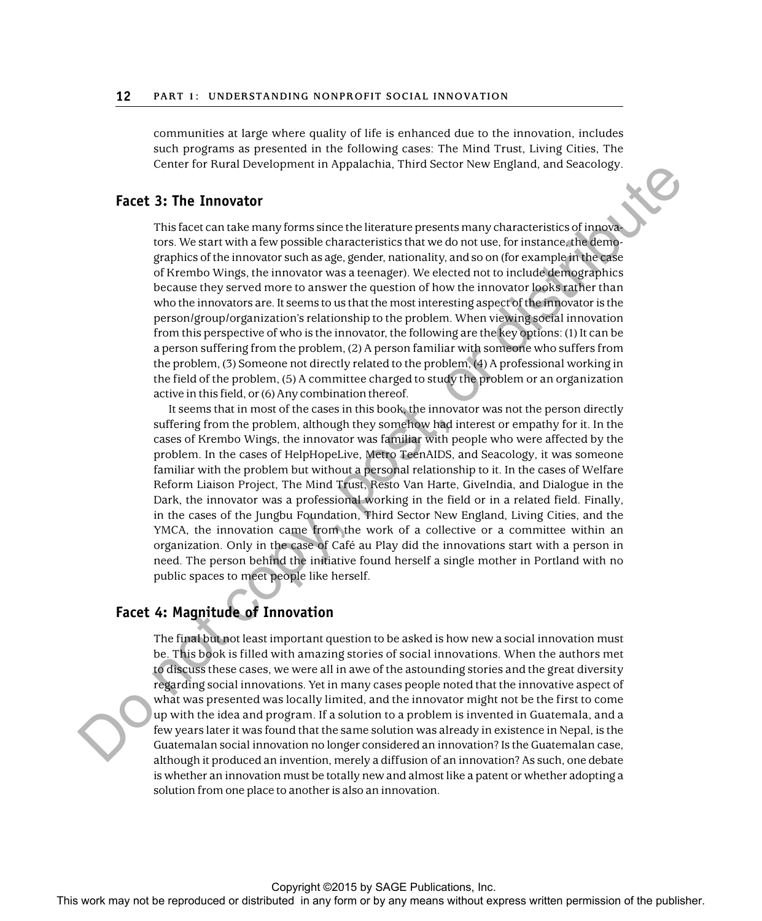communities at large where quality of life is enhanced due to the innovation, includes such programs as presented in the following cases: The Mind Trust, Living Cities, The Center for Rural Development in Appalachia, Third Sector New England, and Seacology.

### **Facet 3: The Innovator**

This facet can take many forms since the literature presents many characteristics of innovators. We start with a few possible characteristics that we do not use, for instance, the demographics of the innovator such as age, gender, nationality, and so on (for example in the case of Krembo Wings, the innovator was a teenager). We elected not to include demographics because they served more to answer the question of how the innovator looks rather than who the innovators are. It seems to us that the most interesting aspect of the innovator is the person/group/organization's relationship to the problem. When viewing social innovation from this perspective of who is the innovator, the following are the key options: (1) It can be a person suffering from the problem, (2) A person familiar with someone who suffers from the problem, (3) Someone not directly related to the problem, (4) A professional working in the field of the problem, (5) A committee charged to study the problem or an organization active in this field, or (6) Any combination thereof. Count of the **Franchises** may determine the fluorities and solve the reproduced in any means when the respect of the publisher or distributed in any means when the publisher of the publisher of the publisher of the publis

It seems that in most of the cases in this book, the innovator was not the person directly suffering from the problem, although they somehow had interest or empathy for it. In the cases of Krembo Wings, the innovator was familiar with people who were affected by the problem. In the cases of HelpHopeLive, Metro TeenAIDS, and Seacology, it was someone familiar with the problem but without a personal relationship to it. In the cases of Welfare Reform Liaison Project, The Mind Trust, Resto Van Harte, GiveIndia, and Dialogue in the Dark, the innovator was a professional working in the field or in a related field. Finally, in the cases of the Jungbu Foundation, Third Sector New England, Living Cities, and the YMCA, the innovation came from the work of a collective or a committee within an organization. Only in the case of Café au Play did the innovations start with a person in need. The person behind the initiative found herself a single mother in Portland with no public spaces to meet people like herself.

## **Facet 4: Magnitude of Innovation**

The final but not least important question to be asked is how new a social innovation must be. This book is filled with amazing stories of social innovations. When the authors met to discuss these cases, we were all in awe of the astounding stories and the great diversity regarding social innovations. Yet in many cases people noted that the innovative aspect of what was presented was locally limited, and the innovator might not be the first to come up with the idea and program. If a solution to a problem is invented in Guatemala, and a few years later it was found that the same solution was already in existence in Nepal, is the Guatemalan social innovation no longer considered an innovation? Is the Guatemalan case, although it produced an invention, merely a diffusion of an innovation? As such, one debate is whether an innovation must be totally new and almost like a patent or whether adopting a solution from one place to another is also an innovation.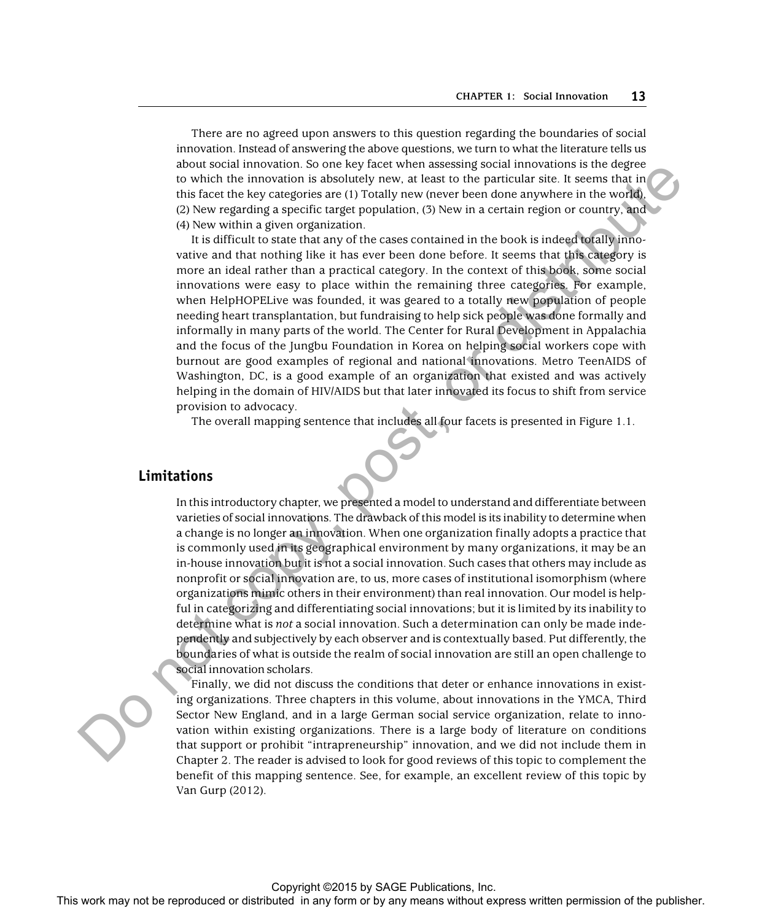There are no agreed upon answers to this question regarding the boundaries of social innovation. Instead of answering the above questions, we turn to what the literature tells us about social innovation. So one key facet when assessing social innovations is the degree to which the innovation is absolutely new, at least to the particular site. It seems that in this facet the key categories are (1) Totally new (never been done anywhere in the world), (2) New regarding a specific target population, (3) New in a certain region or country, and (4) New within a given organization.

It is difficult to state that any of the cases contained in the book is indeed totally innovative and that nothing like it has ever been done before. It seems that this category is more an ideal rather than a practical category. In the context of this book, some social innovations were easy to place within the remaining three categories. For example, when HelpHOPELive was founded, it was geared to a totally new population of people needing heart transplantation, but fundraising to help sick people was done formally and informally in many parts of the world. The Center for Rural Development in Appalachia and the focus of the Jungbu Foundation in Korea on helping social workers cope with burnout are good examples of regional and national innovations. Metro TeenAIDS of Washington, DC, is a good example of an organization that existed and was actively helping in the domain of HIV/AIDS but that later innovated its focus to shift from service provision to advocacy.

The overall mapping sentence that includes all four facets is presented in Figure 1.1.

#### **Limitations**

In this introductory chapter, we presented a model to understand and differentiate between varieties of social innovations. The drawback of this model is its inability to determine when a change is no longer an innovation. When one organization finally adopts a practice that is commonly used in its geographical environment by many organizations, it may be an in-house innovation but it is not a social innovation. Such cases that others may include as nonprofit or social innovation are, to us, more cases of institutional isomorphism (where organizations mimic others in their environment) than real innovation. Our model is helpful in categorizing and differentiating social innovations; but it is limited by its inability to determine what is *not* a social innovation. Such a determination can only be made independently and subjectively by each observer and is contextually based. Put differently, the boundaries of what is outside the realm of social innovation are still an open challenge to social innovation scholars. This work may not be reproduced or the state with a state with the reproduced or the reproduced or the publisher. The reproduced or the publisher is a publisher of the publisher. This with the publisher is a publisher of t

Finally, we did not discuss the conditions that deter or enhance innovations in existing organizations. Three chapters in this volume, about innovations in the YMCA, Third Sector New England, and in a large German social service organization, relate to innovation within existing organizations. There is a large body of literature on conditions that support or prohibit "intrapreneurship" innovation, and we did not include them in Chapter 2. The reader is advised to look for good reviews of this topic to complement the benefit of this mapping sentence. See, for example, an excellent review of this topic by Van Gurp (2012).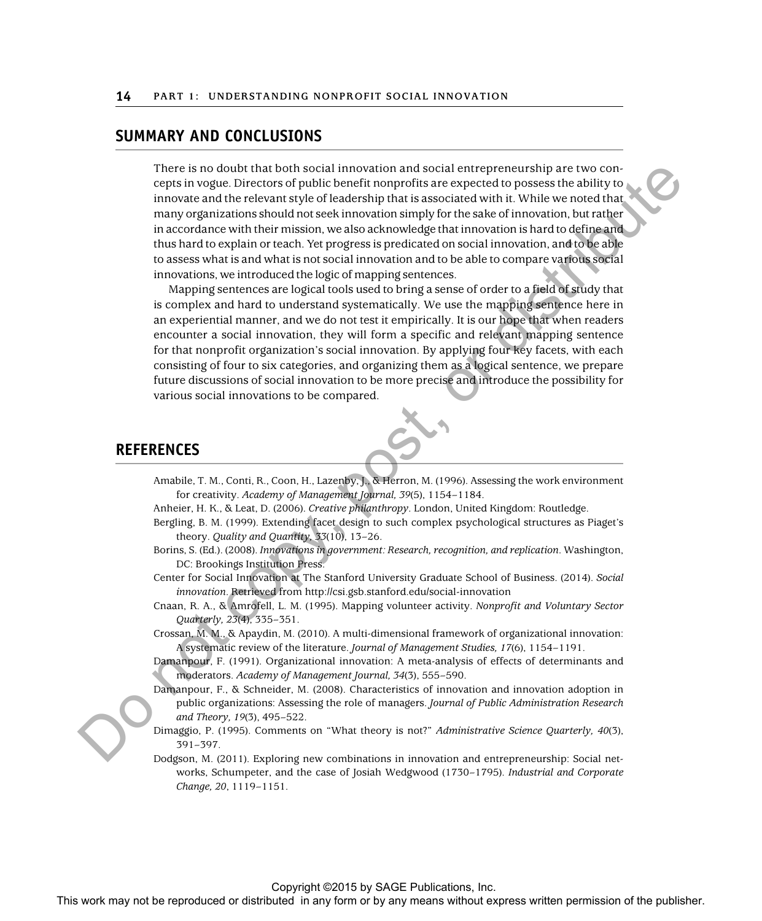### **SUMMARY AND CONCLUSIONS**

There is no doubt that both social innovation and social entrepreneurship are two concepts in vogue. Directors of public benefit nonprofits are expected to possess the ability to innovate and the relevant style of leadership that is associated with it. While we noted that many organizations should not seek innovation simply for the sake of innovation, but rather in accordance with their mission, we also acknowledge that innovation is hard to define and thus hard to explain or teach. Yet progress is predicated on social innovation, and to be able to assess what is and what is not social innovation and to be able to compare various social innovations, we introduced the logic of mapping sentences. There is no double that both may not be related any form or by any first in any form or by any means with the reproduced or by any means with the publisher. The publisher is not be reproduced in any form or by any first i

Mapping sentences are logical tools used to bring a sense of order to a field of study that is complex and hard to understand systematically. We use the mapping sentence here in an experiential manner, and we do not test it empirically. It is our hope that when readers encounter a social innovation, they will form a specific and relevant mapping sentence for that nonprofit organization's social innovation. By applying four key facets, with each consisting of four to six categories, and organizing them as a logical sentence, we prepare future discussions of social innovation to be more precise and introduce the possibility for various social innovations to be compared.

## **REFERENCES**

- Amabile, T. M., Conti, R., Coon, H., Lazenby, J., & Herron, M. (1996). Assessing the work environment for creativity. *Academy of Management Journal, 39*(5), 1154–1184.
- Anheier, H. K., & Leat, D. (2006). *Creative philanthropy*. London, United Kingdom: Routledge.
- Bergling, B. M. (1999). Extending facet design to such complex psychological structures as Piaget's theory. *Quality and Quantity, 33*(10), 13–26.
- Borins, S. (Ed.). (2008). *Innovations in government: Research, recognition, and replication*. Washington, DC: Brookings Institution Press.
- Center for Social Innovation at The Stanford University Graduate School of Business. (2014). *Social innovation*. Retrieved from http://csi.gsb.stanford.edu/social-innovation
- Cnaan, R. A., & Amrofell, L. M. (1995). Mapping volunteer activity. *Nonprofit and Voluntary Sector Quarterly, 23*(4), 335–351.
- Crossan, M. M., & Apaydin, M. (2010). A multi-dimensional framework of organizational innovation: A systematic review of the literature. *Journal of Management Studies, 17*(6), 1154–1191.
- Damanpour, F. (1991). Organizational innovation: A meta-analysis of effects of determinants and moderators. *Academy of Management Journal, 34*(3), 555–590.
- Damanpour, F., & Schneider, M. (2008). Characteristics of innovation and innovation adoption in public organizations: Assessing the role of managers. *Journal of Public Administration Research and Theory, 19*(3), 495–522.
- Dimaggio, P. (1995). Comments on "What theory is not?" *Administrative Science Quarterly, 40*(3), 391–397.
- Dodgson, M. (2011). Exploring new combinations in innovation and entrepreneurship: Social networks, Schumpeter, and the case of Josiah Wedgwood (1730–1795). *Industrial and Corporate Change, 20*, 1119–1151.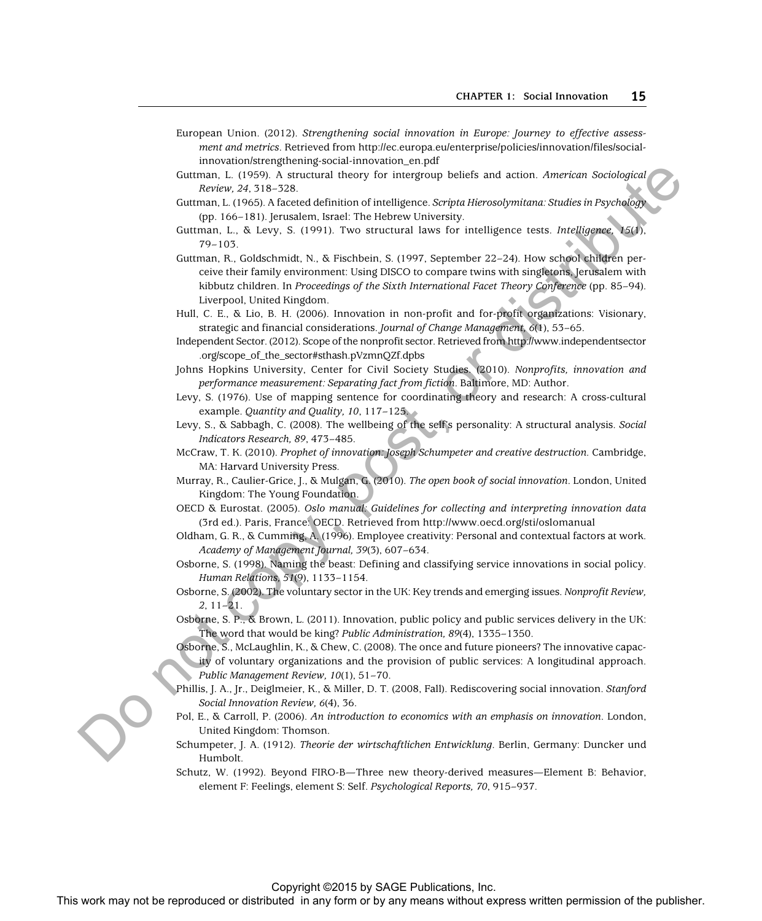- European Union. (2012). *Strengthening social innovation in Europe: Journey to effective assessment and metrics*. Retrieved from http://ec.europa.eu/enterprise/policies/innovation/files/socialinnovation/strengthening-social-innovation\_en.pdf
- Guttman, L. (1959). A structural theory for intergroup beliefs and action. *American Sociological Review, 24*, 318–328.
- Guttman, L. (1965). A faceted definition of intelligence. *Scripta Hierosolymitana: Studies in Psychology* (pp. 166–181). Jerusalem, Israel: The Hebrew University.
- Guttman, L., & Levy, S. (1991). Two structural laws for intelligence tests. *Intelligence, 15*(1), 79–103.
- Guttman, R., Goldschmidt, N., & Fischbein, S. (1997, September 22–24). How school children perceive their family environment: Using DISCO to compare twins with singletons, Jerusalem with kibbutz children. In *Proceedings of the Sixth International Facet Theory Conference* (pp. 85–94). Liverpool, United Kingdom. Commany, 1, (1997), A working the reproduced or distributed in any means which in a statistical or distribution or distribution of the publisher of the publisher of the publisher of the publisher of the publisher of the p
	- Hull, C. E., & Lio, B. H. (2006). Innovation in non-profit and for-profit organizations: Visionary, strategic and financial considerations. *Journal of Change Management, 6*(1), 53–65.
	- Independent Sector. (2012). Scope of the nonprofit sector. Retrieved from http://www.independentsector .org/scope\_of\_the\_sector#sthash.pVzmnQZf.dpbs
	- Johns Hopkins University, Center for Civil Society Studies. (2010). *Nonprofits, innovation and performance measurement: Separating fact from fiction*. Baltimore, MD: Author.
	- Levy, S. (1976). Use of mapping sentence for coordinating theory and research: A cross-cultural example. *Quantity and Quality, 10*, 117–125.
	- Levy, S., & Sabbagh, C. (2008). The wellbeing of the self's personality: A structural analysis. *Social Indicators Research, 89*, 473–485.
	- McCraw, T. K. (2010). *Prophet of innovation: Joseph Schumpeter and creative destruction.* Cambridge, MA: Harvard University Press.
	- Murray, R., Caulier-Grice, J., & Mulgan, G. (2010). *The open book of social innovation*. London, United Kingdom: The Young Foundation.
	- OECD & Eurostat. (2005). *Oslo manual: Guidelines for collecting and interpreting innovation data* (3rd ed.). Paris, France: OECD. Retrieved from http://www.oecd.org/sti/oslomanual
	- Oldham, G. R., & Cumming, A. (1996). Employee creativity: Personal and contextual factors at work. *Academy of Management Journal, 39*(3), 607–634.
	- Osborne, S. (1998). Naming the beast: Defining and classifying service innovations in social policy. *Human Relations, 51*(9), 1133–1154.
	- Osborne, S. (2002). The voluntary sector in the UK: Key trends and emerging issues. *Nonprofit Review, 2*, 11–21.
	- Osborne, S. P., & Brown, L. (2011). Innovation, public policy and public services delivery in the UK: The word that would be king? *Public Administration, 89*(4), 1335–1350.
	- Osborne, S., McLaughlin, K., & Chew, C. (2008). The once and future pioneers? The innovative capacity of voluntary organizations and the provision of public services: A longitudinal approach. *Public Management Review, 10*(1), 51–70.
	- Phillis, J. A., Jr., Deiglmeier, K., & Miller, D. T. (2008, Fall). Rediscovering social innovation. *Stanford Social Innovation Review, 6*(4), 36.
	- Pol, E., & Carroll, P. (2006). *An introduction to economics with an emphasis on innovation*. London, United Kingdom: Thomson.
	- Schumpeter, J. A. (1912). *Theorie der wirtschaftlichen Entwicklung*. Berlin, Germany: Duncker und Humbolt.
	- Schutz, W. (1992). Beyond FIRO-B—Three new theory-derived measures—Element B: Behavior, element F: Feelings, element S: Self. *Psychological Reports, 70*, 915–937.